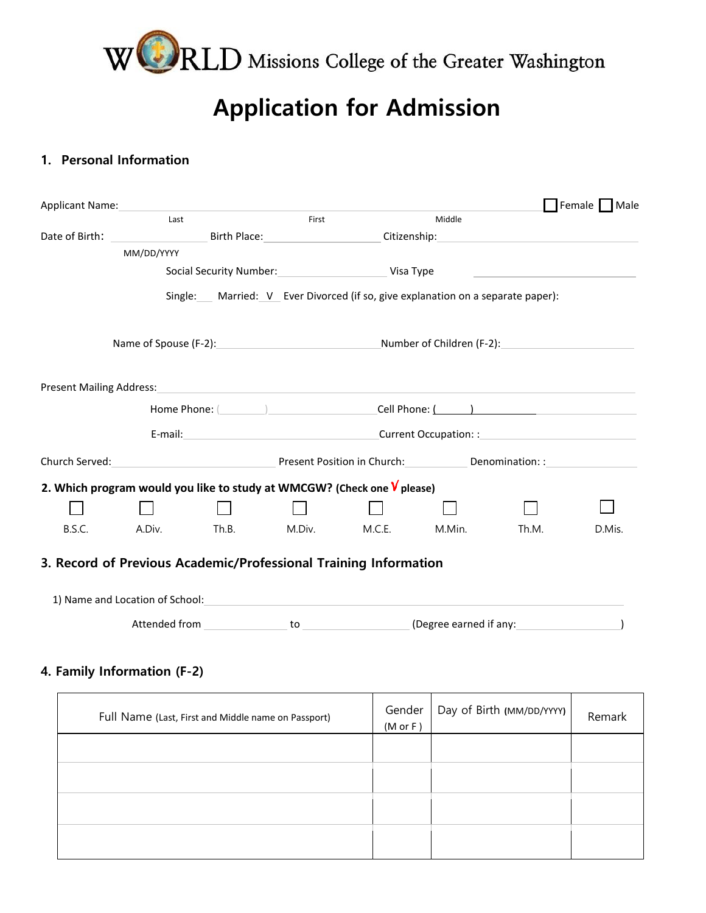

## **Application for Admission**

## **1. Personal Information**

| Middle<br>Last<br>First<br>Date of Birth: The Case of Birth:<br>Birth Place: The Contract of the Contract of the Contract of the Contract of the Contract of the Contract of the Contract of the Contract of the Contract of the Contract of the Contract of the Contract of the Contract of t<br>Citizenship:_______<br>MM/DD/YYYY<br>Social Security Number: Visa Type<br>Single: Married: V Ever Divorced (if so, give explanation on a separate paper):<br>Name of Spouse (F-2): Number of Children (F-2):<br>Present Mailing Address:<br><u> 1989 - John Harry Harry Harry Harry Harry Harry Harry Harry Harry Harry Harry Harry Harry Harry Harry Harry</u><br>E-mail: Current Occupation: :<br>Church Served: The Church Served: The Church Served: Church Served: Church Served: Church Served: Church Served: Church Served: Church Served: Church Served: Church Served: Church Served: Church Served: Church Served: Chur<br>2. Which program would you like to study at WMCGW? (Check one $V$ please)<br>A.Div.<br>Th.B.<br>M.Div.<br>M.Min.<br>B.S.C.<br>M.C.E.<br>3. Record of Previous Academic/Professional Training Information<br>1) Name and Location of School:<br><u> 1980 - John Stein, Amerikaansk politiker (* 1918)</u> | Female Male     |
|--------------------------------------------------------------------------------------------------------------------------------------------------------------------------------------------------------------------------------------------------------------------------------------------------------------------------------------------------------------------------------------------------------------------------------------------------------------------------------------------------------------------------------------------------------------------------------------------------------------------------------------------------------------------------------------------------------------------------------------------------------------------------------------------------------------------------------------------------------------------------------------------------------------------------------------------------------------------------------------------------------------------------------------------------------------------------------------------------------------------------------------------------------------------------------------------------------------------------------------------------|-----------------|
|                                                                                                                                                                                                                                                                                                                                                                                                                                                                                                                                                                                                                                                                                                                                                                                                                                                                                                                                                                                                                                                                                                                                                                                                                                                  |                 |
|                                                                                                                                                                                                                                                                                                                                                                                                                                                                                                                                                                                                                                                                                                                                                                                                                                                                                                                                                                                                                                                                                                                                                                                                                                                  |                 |
|                                                                                                                                                                                                                                                                                                                                                                                                                                                                                                                                                                                                                                                                                                                                                                                                                                                                                                                                                                                                                                                                                                                                                                                                                                                  |                 |
|                                                                                                                                                                                                                                                                                                                                                                                                                                                                                                                                                                                                                                                                                                                                                                                                                                                                                                                                                                                                                                                                                                                                                                                                                                                  |                 |
|                                                                                                                                                                                                                                                                                                                                                                                                                                                                                                                                                                                                                                                                                                                                                                                                                                                                                                                                                                                                                                                                                                                                                                                                                                                  |                 |
|                                                                                                                                                                                                                                                                                                                                                                                                                                                                                                                                                                                                                                                                                                                                                                                                                                                                                                                                                                                                                                                                                                                                                                                                                                                  |                 |
|                                                                                                                                                                                                                                                                                                                                                                                                                                                                                                                                                                                                                                                                                                                                                                                                                                                                                                                                                                                                                                                                                                                                                                                                                                                  |                 |
|                                                                                                                                                                                                                                                                                                                                                                                                                                                                                                                                                                                                                                                                                                                                                                                                                                                                                                                                                                                                                                                                                                                                                                                                                                                  |                 |
|                                                                                                                                                                                                                                                                                                                                                                                                                                                                                                                                                                                                                                                                                                                                                                                                                                                                                                                                                                                                                                                                                                                                                                                                                                                  |                 |
|                                                                                                                                                                                                                                                                                                                                                                                                                                                                                                                                                                                                                                                                                                                                                                                                                                                                                                                                                                                                                                                                                                                                                                                                                                                  |                 |
|                                                                                                                                                                                                                                                                                                                                                                                                                                                                                                                                                                                                                                                                                                                                                                                                                                                                                                                                                                                                                                                                                                                                                                                                                                                  |                 |
|                                                                                                                                                                                                                                                                                                                                                                                                                                                                                                                                                                                                                                                                                                                                                                                                                                                                                                                                                                                                                                                                                                                                                                                                                                                  |                 |
|                                                                                                                                                                                                                                                                                                                                                                                                                                                                                                                                                                                                                                                                                                                                                                                                                                                                                                                                                                                                                                                                                                                                                                                                                                                  |                 |
|                                                                                                                                                                                                                                                                                                                                                                                                                                                                                                                                                                                                                                                                                                                                                                                                                                                                                                                                                                                                                                                                                                                                                                                                                                                  | Th.M.<br>D.Mis. |
|                                                                                                                                                                                                                                                                                                                                                                                                                                                                                                                                                                                                                                                                                                                                                                                                                                                                                                                                                                                                                                                                                                                                                                                                                                                  |                 |
|                                                                                                                                                                                                                                                                                                                                                                                                                                                                                                                                                                                                                                                                                                                                                                                                                                                                                                                                                                                                                                                                                                                                                                                                                                                  |                 |
|                                                                                                                                                                                                                                                                                                                                                                                                                                                                                                                                                                                                                                                                                                                                                                                                                                                                                                                                                                                                                                                                                                                                                                                                                                                  |                 |
|                                                                                                                                                                                                                                                                                                                                                                                                                                                                                                                                                                                                                                                                                                                                                                                                                                                                                                                                                                                                                                                                                                                                                                                                                                                  |                 |

| Full Name (Last, First and Middle name on Passport) | Gender<br>$(M$ or $F)$ | Day of Birth (MM/DD/YYYY) | Remark |
|-----------------------------------------------------|------------------------|---------------------------|--------|
|                                                     |                        |                           |        |
|                                                     |                        |                           |        |
|                                                     |                        |                           |        |
|                                                     |                        |                           |        |